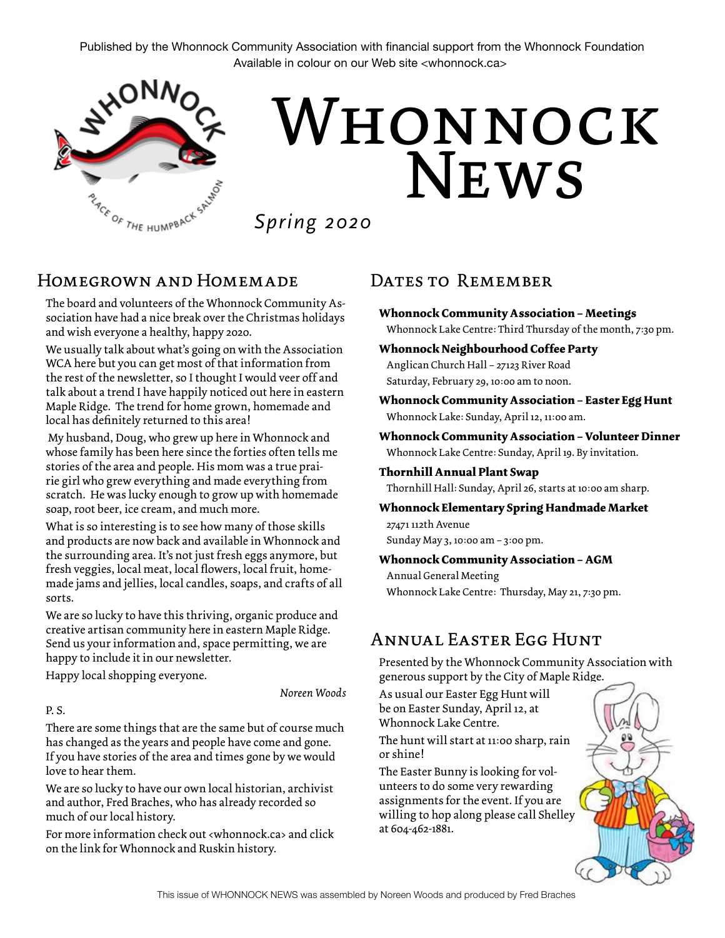Published by the Whonnock Community Association with financial support from the Whonnock Foundation Available in colour on our Web site <whonnock.ca>



# NEWS WHONNOCK

*Spring 2020*

## Homegrown and Homemade

The board and volunteers of the Whonnock Community Association have had a nice break over the Christmas holidays and wish everyone a healthy, happy 2020.

We usually talk about what's going on with the Association WCA here but you can get most of that information from the rest of the newsletter, so I thought I would veer off and talk about a trend I have happily noticed out here in eastern Maple Ridge. The trend for home grown, homemade and local has definitely returned to this area!

 My husband, Doug, who grew up here in Whonnock and whose family has been here since the forties often tells me stories of the area and people. His mom was a true prairie girl who grew everything and made everything from scratch. He was lucky enough to grow up with homemade soap, root beer, ice cream, and much more.

What is so interesting is to see how many of those skills and products are now back and available in Whonnock and the surrounding area. It's not just fresh eggs anymore, but fresh veggies, local meat, local flowers, local fruit, homemade jams and jellies, local candles, soaps, and crafts of all sorts.

We are so lucky to have this thriving, organic produce and creative artisan community here in eastern Maple Ridge. Send us your information and, space permitting, we are happy to include it in our newsletter.

Happy local shopping everyone.

*Noreen Woods* 

#### P. S.

There are some things that are the same but of course much has changed as the years and people have come and gone. If you have stories of the area and times gone by we would love to hear them.

We are so lucky to have our own local historian, archivist and author, Fred Braches, who has already recorded so much of our local history.

For more information check out <whonnock.ca> and click on the link for Whonnock and Ruskin history.

### DATES TO REMEMBER

- **Whonnock Community Association Meetings** Whonnock Lake Centre: Third Thursday of the month, 7:30 pm.
- **Whonnock Neighbourhood Coffee Party** Anglican Church Hall – 27123 River Road Saturday, February 29, 10:00 am to noon.
- **Whonnock Community Association Easter Egg Hunt** Whonnock Lake: Sunday, April 12, 11:00 am.
- **Whonnock Community Association Volunteer Dinner** Whonnock Lake Centre: Sunday, April 19. By invitation.

## **Thornhill Annual Plant Swap**

Thornhill Hall: Sunday, April 26, starts at 10:00 am sharp.

#### **Whonnock Elementary Spring Handmade Market** 27471 112th Avenue

Sunday May 3, 10:00 am – 3:00 pm.

#### **Whonnock Community Association – AGM**

Annual General Meeting Whonnock Lake Centre: Thursday, May 21, 7:30 pm.

## Annual Easter Egg Hunt

Presented by the Whonnock Community Association with generous support by the City of Maple Ridge.

As usual our Easter Egg Hunt will be on Easter Sunday, April 12, at Whonnock Lake Centre.

The hunt will start at 11:00 sharp, rain or shine!

The Easter Bunny is looking for volunteers to do some very rewarding assignments for the event. If you are willing to hop along please call Shelley at 604-462-1881.

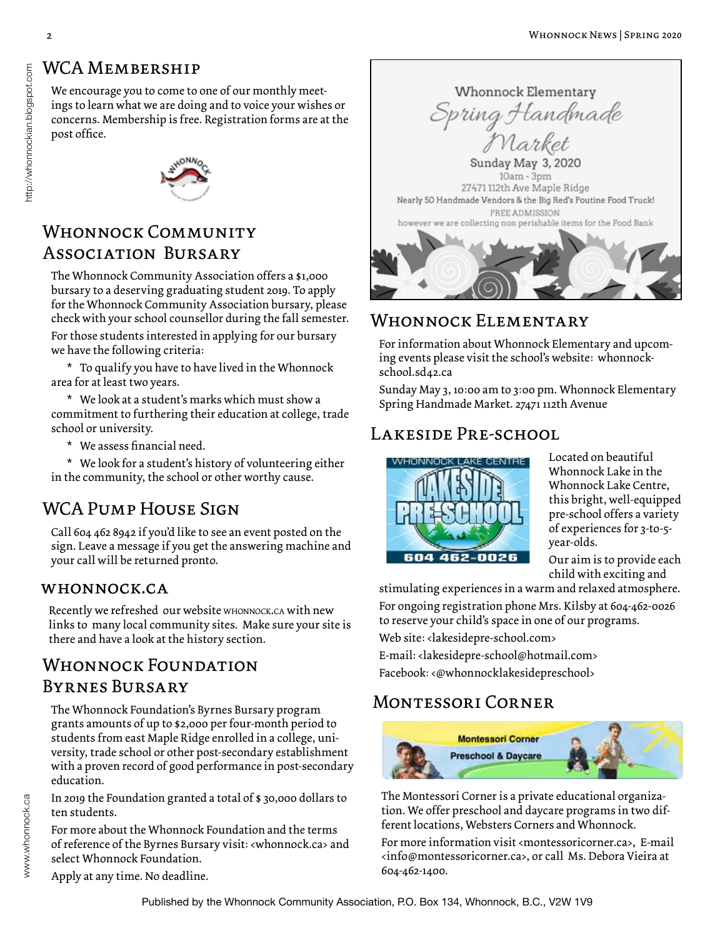## WCA MEMBERSHIP

We encourage you to come to one of our monthly meetings to learn what we are doing and to voice your wishes or concerns. Membership is free. Registration forms are at the post office.



## Whonnock Community Association Bursary

The Whonnock Community Association offers a \$1,000 bursary to a deserving graduating student 2019. To apply for the Whonnock Community Association bursary, please check with your school counsellor during the fall semester.

For those students interested in applying for our bursary we have the following criteria:

 $*$  To qualify you have to have lived in the Whonnock area for at least two years.

\* We look at a student's marks which must show a commitment to furthering their education at college, trade school or university.

\* We assess financial need.

\* We look for a student's history of volunteering either in the community, the school or other worthy cause.

## WCA PUMP HOUSE SIGN

Call 604 462 8942 if you'd like to see an event posted on the sign. Leave a message if you get the answering machine and your call will be returned pronto.

## whonnock.ca

Recently we refreshed our website whonnock.ca with new links to many local community sites. Make sure your site is there and have a look at the history section.

## Whonnock Foundation Byrnes Bursary

The Whonnock Foundation's Byrnes Bursary program grants amounts of up to \$2,000 per four-month period to students from east Maple Ridge enrolled in a college, university, trade school or other post-secondary establishment with a proven record of good performance in post-secondary education.

In 2019 the Foundation granted a total of \$ 30,000 dollars to ten students.

For more about the Whonnock Foundation and the terms of reference of the Byrnes Bursary visit: <whonnock.ca> and select Whonnock Foundation.

Apply at any time. No deadline.



## Whonnock Elementary

For information about Whonnock Elementary and upcoming events please visit the school's website: whonnockschool.sd42.ca

Sunday May 3, 10:00 am to 3:00 pm. Whonnock Elementary Spring Handmade Market. 27471 112th Avenue

## Lakeside Pre-school



Located on beautiful Whonnock Lake in the Whonnock Lake Centre, this bright, well-equipped pre-school offers a variety of experiences for 3-to-5 year-olds.

Our aim is to provide each child with exciting and

stimulating experiences in a warm and relaxed atmosphere. For ongoing registration phone Mrs. Kilsby at 604-462-0026 to reserve your child's space in one of our programs.

Web site: <lakesidepre-school.com>

E-mail: <lakesidepre-school@hotmail.com> Facebook: <@whonnocklakesidepreschool>

## Montessori Corner



The Montessori Corner is a private educational organization. We offer preschool and daycare programs in two different locations, Websters Corners and Whonnock.

For more information visit <montessoricorner.ca>, E-mail <info@montessoricorner.ca>, or call Ms. Debora Vieira at 604-462-1400.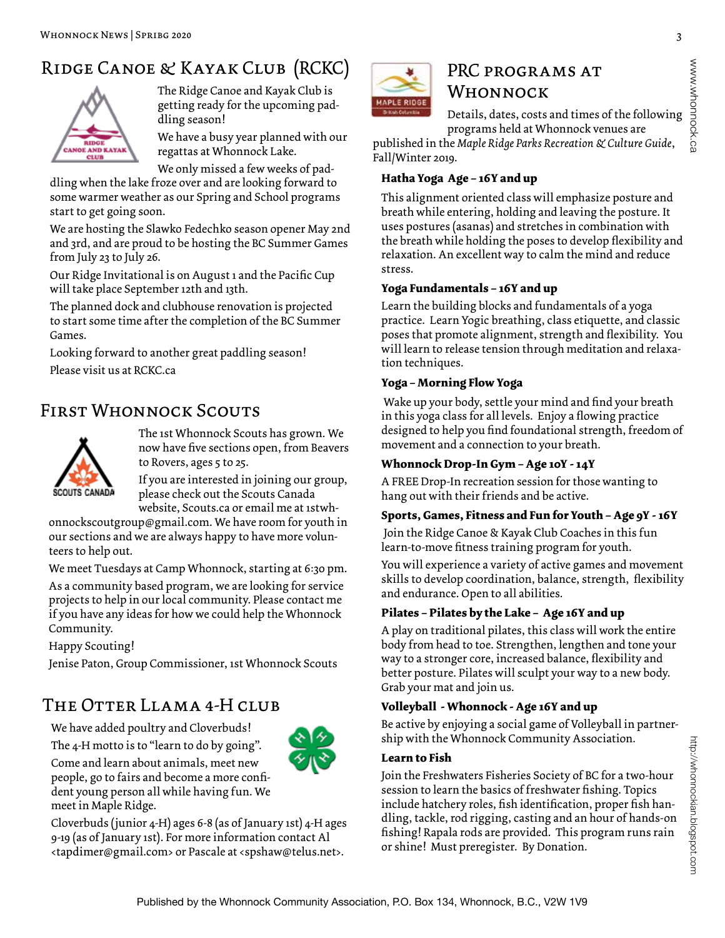# Ridge Canoe & Kayak Club (RCKC)



The Ridge Canoe and Kayak Club is getting ready for the upcoming paddling season!

We have a busy year planned with our regattas at Whonnock Lake.

We only missed a few weeks of pad-

dling when the lake froze over and are looking forward to some warmer weather as our Spring and School programs start to get going soon.

We are hosting the Slawko Fedechko season opener May 2nd and 3rd, and are proud to be hosting the BC Summer Games from July 23 to July 26.

Our Ridge Invitational is on August 1 and the Pacific Cup will take place September 12th and 13th.

The planned dock and clubhouse renovation is projected to start some time after the completion of the BC Summer Games.

Looking forward to another great paddling season! Please visit us at RCKC.ca

## First Whonnock Scouts



The 1st Whonnock Scouts has grown. We now have five sections open, from Beavers to Rovers, ages 5 to 25.

If you are interested in joining our group, please check out the Scouts Canada website, Scouts.ca or email me at 1stwh-

onnockscoutgroup@gmail.com. We have room for youth in our sections and we are always happy to have more volunteers to help out.

We meet Tuesdays at Camp Whonnock, starting at 6:30 pm.

As a community based program, we are looking for service projects to help in our local community. Please contact me if you have any ideas for how we could help the Whonnock Community.

Happy Scouting!

Jenise Paton, Group Commissioner, 1st Whonnock Scouts

## The Otter Llama 4-H club

We have added poultry and Cloverbuds!



The 4-H motto is to "learn to do by going". Come and learn about animals, meet new people, go to fairs and become a more confident young person all while having fun. We meet in Maple Ridge.

Cloverbuds (junior 4-H) ages 6-8 (as of January 1st) 4-H ages 9-19 (as of January 1st). For more information contact Al <tapdimer@gmail.com> or Pascale at <spshaw@telus.net>.



## PRC PROGRAMS AT Whonnock

Details, dates, costs and times of the following programs held at Whonnock venues are

published in the *Maple Ridge Parks Recreation & Culture Guide*, Fall/Winter 2019.

#### **Hatha Yoga Age – 16Y and up**

This alignment oriented class will emphasize posture and breath while entering, holding and leaving the posture. It uses postures (asanas) and stretches in combination with the breath while holding the poses to develop flexibility and relaxation. An excellent way to calm the mind and reduce stress.

#### **Yoga Fundamentals – 16Y and up**

Learn the building blocks and fundamentals of a yoga practice. Learn Yogic breathing, class etiquette, and classic poses that promote alignment, strength and flexibility. You will learn to release tension through meditation and relaxation techniques.

#### **Yoga – Morning Flow Yoga**

 Wake up your body, settle your mind and find your breath in this yoga class for all levels. Enjoy a flowing practice designed to help you find foundational strength, freedom of movement and a connection to your breath.

#### **Whonnock Drop-In Gym – Age 10Y - 14Y**

A FREE Drop-In recreation session for those wanting to hang out with their friends and be active.

#### **Sports, Games, Fitness and Fun for Youth – Age 9Y - 16Y**

 Join the Ridge Canoe & Kayak Club Coaches in this fun learn-to-move fitness training program for youth.

You will experience a variety of active games and movement skills to develop coordination, balance, strength, flexibility and endurance. Open to all abilities.

#### **Pilates – Pilates by the Lake – Age 16Y and up**

A play on traditional pilates, this class will work the entire body from head to toe. Strengthen, lengthen and tone your way to a stronger core, increased balance, flexibility and better posture. Pilates will sculpt your way to a new body. Grab your mat and join us.

#### **Volleyball - Whonnock - Age 16Y and up**

Be active by enjoying a social game of Volleyball in partnership with the Whonnock Community Association.

#### **Learn to Fish**

Join the Freshwaters Fisheries Society of BC for a two-hour session to learn the basics of freshwater fishing. Topics include hatchery roles, fish identification, proper fish handling, tackle, rod rigging, casting and an hour of hands-on fishing! Rapala rods are provided. This program runs rain or shine! Must preregister. By Donation.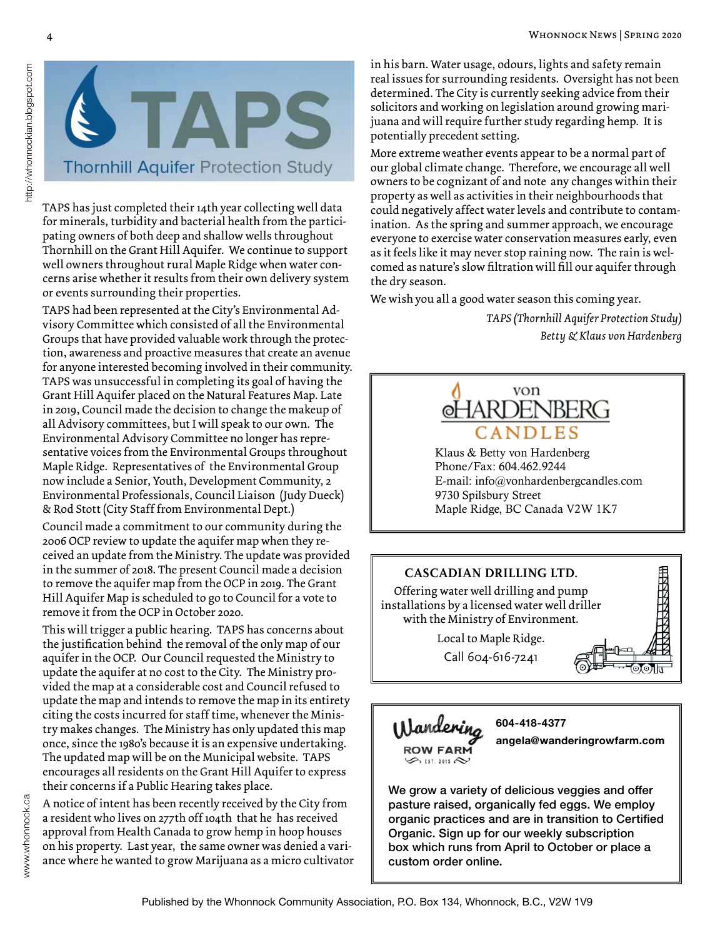

TAPS has just completed their 14th year collecting well data for minerals, turbidity and bacterial health from the participating owners of both deep and shallow wells throughout Thornhill on the Grant Hill Aquifer. We continue to support well owners throughout rural Maple Ridge when water concerns arise whether it results from their own delivery system or events surrounding their properties.

TAPS had been represented at the City's Environmental Advisory Committee which consisted of all the Environmental Groups that have provided valuable work through the protection, awareness and proactive measures that create an avenue for anyone interested becoming involved in their community. TAPS was unsuccessful in completing its goal of having the Grant Hill Aquifer placed on the Natural Features Map. Late in 2019, Council made the decision to change the makeup of all Advisory committees, but I will speak to our own. The Environmental Advisory Committee no longer has representative voices from the Environmental Groups throughout Maple Ridge. Representatives of the Environmental Group now include a Senior, Youth, Development Community, 2 Environmental Professionals, Council Liaison (Judy Dueck) & Rod Stott (City Staff from Environmental Dept.)

Council made a commitment to our community during the 2006 OCP review to update the aquifer map when they received an update from the Ministry. The update was provided in the summer of 2018. The present Council made a decision to remove the aquifer map from the OCP in 2019. The Grant Hill Aquifer Map is scheduled to go to Council for a vote to remove it from the OCP in October 2020.

This will trigger a public hearing. TAPS has concerns about the justification behind the removal of the only map of our aquifer in the OCP. Our Council requested the Ministry to update the aquifer at no cost to the City. The Ministry provided the map at a considerable cost and Council refused to update the map and intends to remove the map in its entirety citing the costs incurred for staff time, whenever the Ministry makes changes. The Ministry has only updated this map once, since the 1980's because it is an expensive undertaking. The updated map will be on the Municipal website. TAPS encourages all residents on the Grant Hill Aquifer to express their concerns if a Public Hearing takes place.

A notice of intent has been recently received by the City from a resident who lives on 277th off 104th that he has received approval from Health Canada to grow hemp in hoop houses on his property. Last year, the same owner was denied a variance where he wanted to grow Marijuana as a micro cultivator in his barn. Water usage, odours, lights and safety remain real issues for surrounding residents. Oversight has not been determined. The City is currently seeking advice from their solicitors and working on legislation around growing marijuana and will require further study regarding hemp. It is potentially precedent setting.

More extreme weather events appear to be a normal part of our global climate change. Therefore, we encourage all well owners to be cognizant of and note any changes within their property as well as activities in their neighbourhoods that could negatively affect water levels and contribute to contamination. As the spring and summer approach, we encourage everyone to exercise water conservation measures early, even as it feels like it may never stop raining now. The rain is welcomed as nature's slow filtration will fill our aquifer through the dry season.

We wish you all a good water season this coming year.

*TAPS (Thornhill Aquifer Protection Study) Betty & Klaus von Hardenberg*



Klaus & Betty von Hardenberg Phone/Fax: 604.462.9244 E-mail: info@vonhardenbergcandles.com 9730 Spilsbury Street Maple Ridge, BC Canada V2W 1K7





**604-418-4377**

**angela@wanderingrowfarm.com**

We grow a variety of delicious veggies and offer pasture raised, organically fed eggs. We employ organic practices and are in transition to Certified Organic. Sign up for our weekly subscription box which runs from April to October or place a custom order online.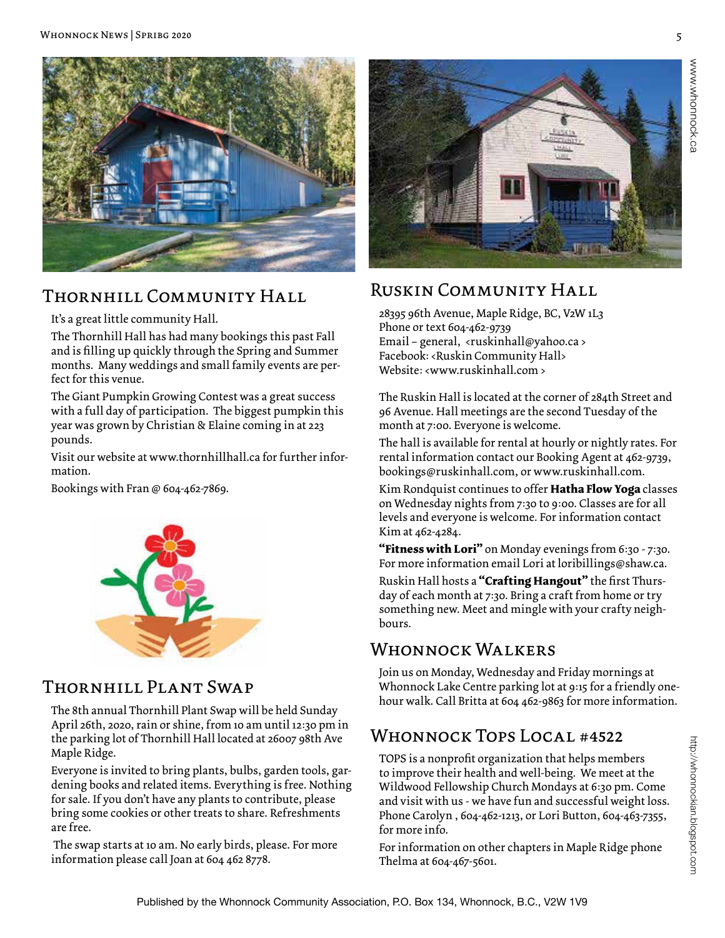

## Thornhill Community Hall

It's a great little community Hall.

The Thornhill Hall has had many bookings this past Fall and is filling up quickly through the Spring and Summer months. Many weddings and small family events are perfect for this venue.

The Giant Pumpkin Growing Contest was a great success with a full day of participation. The biggest pumpkin this year was grown by Christian & Elaine coming in at 223 pounds.

Visit our website at www.thornhillhall.ca for further information.

Bookings with Fran @ 604-462-7869.



## Thornhill Plant Swap

The 8th annual Thornhill Plant Swap will be held Sunday April 26th, 2020, rain or shine, from 10 am until 12:30 pm in the parking lot of Thornhill Hall located at 26007 98th Ave Maple Ridge.

Everyone is invited to bring plants, bulbs, garden tools, gardening books and related items. Everything is free. Nothing for sale. If you don't have any plants to contribute, please bring some cookies or other treats to share. Refreshments are free.

 The swap starts at 10 am. No early birds, please. For more information please call Joan at 604 462 8778.



## Ruskin Community Hall

28395 96th Avenue, Maple Ridge, BC, V2W 1L3 Phone or text 604-462-9739 Email – general, <ruskinhall@yahoo.ca > Facebook: <Ruskin Community Hall> Website: <www.ruskinhall.com >

The Ruskin Hall is located at the corner of 284th Street and 96 Avenue. Hall meetings are the second Tuesday of the month at 7:00. Everyone is welcome.

The hall is available for rental at hourly or nightly rates. For rental information contact our Booking Agent at 462-9739, bookings@ruskinhall.com, or www.ruskinhall.com.

Kim Rondquist continues to offer **Hatha Flow Yoga** classes on Wednesday nights from 7:30 to 9:00. Classes are for all levels and everyone is welcome. For information contact Kim at 462-4284.

**"Fitness with Lori"** on Monday evenings from 6:30 - 7:30. For more information email Lori at loribillings@shaw.ca.

Ruskin Hall hosts a **"Crafting Hangout"** the first Thursday of each month at 7:30. Bring a craft from home or try something new. Meet and mingle with your crafty neighbours.

## WHONNOCK WALKERS

Join us on Monday, Wednesday and Friday mornings at Whonnock Lake Centre parking lot at 9:15 for a friendly onehour walk. Call Britta at 604 462-9863 for more information.

## Whonnock Tops Local #4522

TOPS is a nonprofit organization that helps members to improve their health and well-being. We meet at the Wildwood Fellowship Church Mondays at 6:30 pm. Come and visit with us - we have fun and successful weight loss. Phone Carolyn , 604-462-1213, or Lori Button, 604-463-7355, for more info.

For information on other chapters in Maple Ridge phone Thelma at 604-467-5601.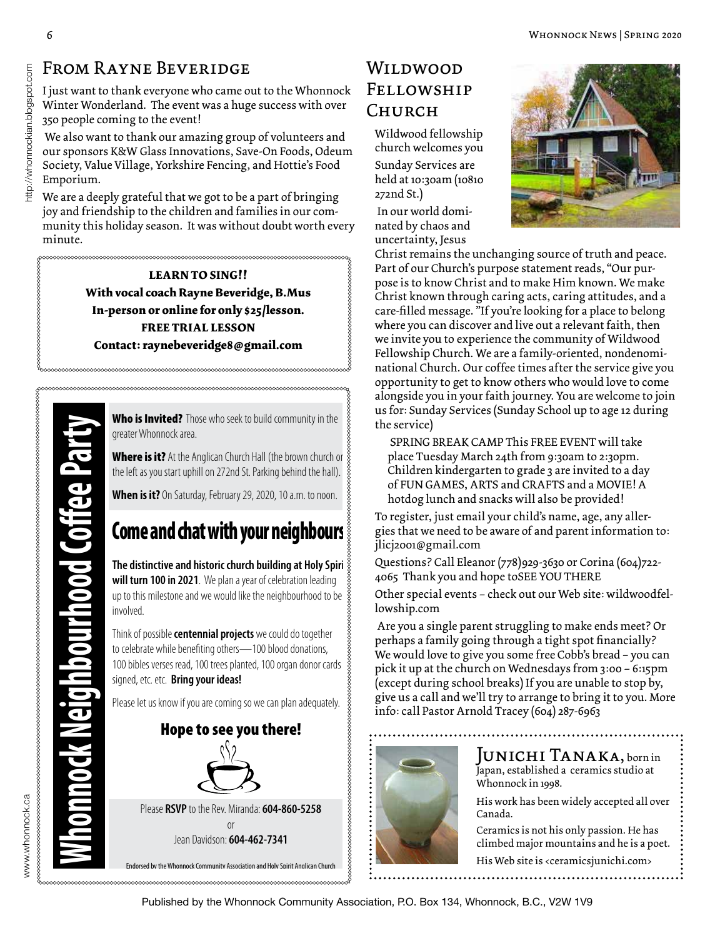## From Rayne Beveridge

I just want to thank everyone who came out to the Whonnock Winter Wonderland. The event was a huge success with over 350 people coming to the event!

 We also want to thank our amazing group of volunteers and our sponsors K&W Glass Innovations, Save-On Foods, Odeum Society, Value Village, Yorkshire Fencing, and Hottie's Food Emporium.

We are a deeply grateful that we got to be a part of bringing joy and friendship to the children and families in our community this holiday season. It was without doubt worth every minute.

> **LEARN TO SING!! With vocal coach Rayne Beveridge, B.Mus In-person or online for only \$25/lesson. FREE TRIAL LESSON Contact: raynebeveridge8@gmail.com**

www.whonnock.ca

Who is Invited? Those who seek to build community in the greater Whonnock area.

**Where is it?** At the Anglican Church Hall (the brown church or  $\frac{2}{3}$ the left as you start uphill on 272nd St. Parking behind the hall).

**When is it?** On Saturday, February 29, 2020, 10 a.m. to noon.

**The distinctive and historic church building at Holy Spiri will turn 100 in 2021**. We plan a year of celebration leading up to this milestone and we would like the neighbourhood to be involved.

Think of possible **centennial projects** we could do together to celebrate while benefiting others—100 blood donations, 100 bibles verses read, 100 trees planted, 100 organ donor cards signed, etc. etc. **Bring your ideas!**

Please let us know if you are coming so we can plan adequately.



## Wildwood Fellowship Church

Wildwood fellowship church welcomes you

Sunday Services are held at 10:30am (10810 272nd St.)

 In our world dominated by chaos and uncertainty, Jesus



Christ remains the unchanging source of truth and peace. Part of our Church's purpose statement reads, "Our purpose is to know Christ and to make Him known. We make Christ known through caring acts, caring attitudes, and a care-filled message. "If you're looking for a place to belong where you can discover and live out a relevant faith, then we invite you to experience the community of Wildwood Fellowship Church. We are a family-oriented, nondenominational Church. Our coffee times after the service give you opportunity to get to know others who would love to come alongside you in your faith journey. You are welcome to join us for: Sunday Services (Sunday School up to age 12 during the service)

SPRING BREAK CAMP This FREE EVENT will take place Tuesday March 24th from 9:30am to 2:30pm. Children kindergarten to grade 3 are invited to a day of FUN GAMES, ARTS and CRAFTS and a MOVIE! A hotdog lunch and snacks will also be provided!

To register, just email your child's name, age, any allergies that we need to be aware of and parent information to: jlicj2001@gmail.com

Questions? Call Eleanor (778)929-3630 or Corina (604)722- 4065 Thank you and hope toSEE YOU THERE

Other special events – check out our Web site: wildwoodfellowship.com

 Are you a single parent struggling to make ends meet? Or perhaps a family going through a tight spot financially? We would love to give you some free Cobb's bread – you can pick it up at the church on Wednesdays from 3:00 – 6:15pm (except during school breaks) If you are unable to stop by, give us a call and we'll try to arrange to bring it to you. More info: call Pastor Arnold Tracey (604) 287-6963



JUNICHI TANAKA, born in Japan, established a ceramics studio at Whonnock in 1998.

His work has been widely accepted all over Canada.

Ceramics is not his only passion. He has climbed major mountains and he is a poet.

His Web site is <ceramicsjunichi.com>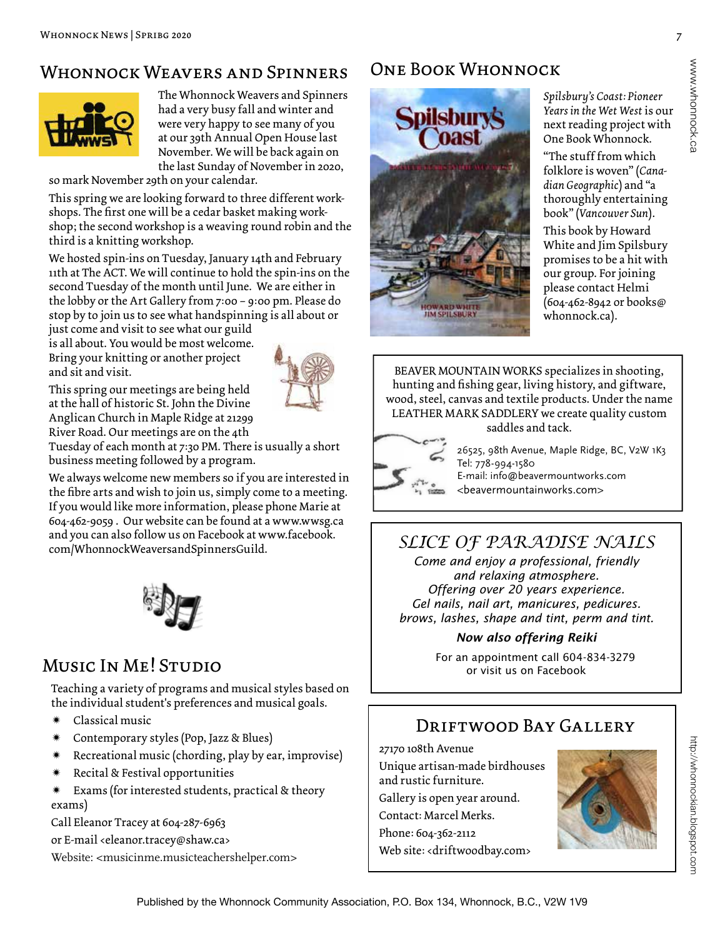## Whonnock Weavers and Spinners



The Whonnock Weavers and Spinners had a very busy fall and winter and were very happy to see many of you at our 39th Annual Open House last November. We will be back again on the last Sunday of November in 2020,

so mark November 29th on your calendar.

This spring we are looking forward to three different workshops. The first one will be a cedar basket making workshop; the second workshop is a weaving round robin and the third is a knitting workshop.

We hosted spin-ins on Tuesday, January 14th and February 11th at The ACT. We will continue to hold the spin-ins on the second Tuesday of the month until June. We are either in the lobby or the Art Gallery from 7:00 – 9:00 pm. Please do stop by to join us to see what handspinning is all about or

just come and visit to see what our guild is all about. You would be most welcome. Bring your knitting or another project and sit and visit.

This spring our meetings are being held at the hall of historic St. John the Divine Anglican Church in Maple Ridge at 21299 River Road. Our meetings are on the 4th



Tuesday of each month at 7:30 PM. There is usually a short business meeting followed by a program.

We always welcome new members so if you are interested in the fibre arts and wish to join us, simply come to a meeting. If you would like more information, please phone Marie at 604-462-9059 . Our website can be found at a www.wwsg.ca and you can also follow us on Facebook at www.facebook. com/WhonnockWeaversandSpinnersGuild. *SLICE OF PARADISE NAILS*



## Music In Me! Studio

Teaching a variety of programs and musical styles based on the individual student's preferences and musical goals.

- \* Classical music
- Contemporary styles (Pop, Jazz & Blues)
- Recreational music (chording, play by ear, improvise)
- Recital & Festival opportunities
- $*$  Exams (for interested students, practical & theory exams)

Call Eleanor Tracey at 604-287-6963

or E-mail <eleanor.tracey@shaw.ca>

Website: <musicinme.musicteachershelper.com>

## One Book Whonnock



*Spilsbury's Coast: Pioneer Years in the Wet West* is our next reading project with One Book Whonnock.

"The stuff from which folklore is woven" (*Canadian Geographic*) and "a thoroughly entertaining book" (*Vancouver Sun*). This book by Howard White and Jim Spilsbury promises to be a hit with our group. For joining please contact Helmi (604-462-8942 or books@ whonnock.ca).

BEAVER MOUNTAIN WORKS specializes in shooting, hunting and fishing gear, living history, and giftware, wood, steel, canvas and textile products. Under the name LEATHER MARK SADDLERY we create quality custom

saddles and tack.

26525, 98th Avenue, Maple Ridge, BC, V2W 1K3 Tel: 778-994-1580

E-mail: info@beavermountworks.com <beavermountainworks.com>

*Come and enjoy a professional, friendly and relaxing atmosphere. Offering over 20 years experience. Gel nails, nail art, manicures, pedicures. brows, lashes, shape and tint, perm and tint.* 

#### *Now also offering Reiki*

 For an appointment call 604-834-3279 or visit us on Facebook

## DRIFTWOOD BAY GALLERY

27170 108th Avenue

Unique artisan-made birdhouses and rustic furniture. Gallery is open year around. Contact: Marcel Merks. Phone: 604-362-2112 Web site: <driftwoodbay.com>